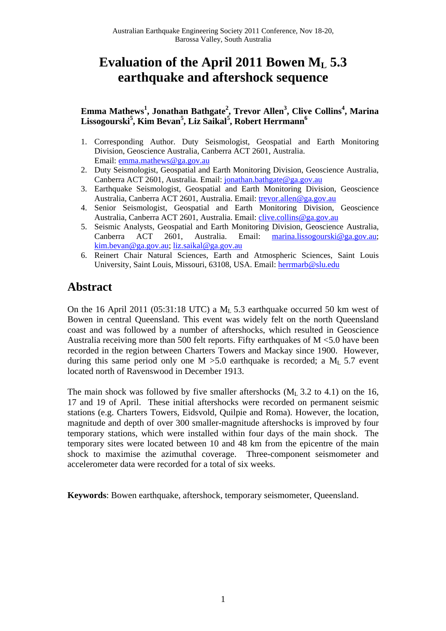# Evaluation of the April 2011 Bowen M<sub>L</sub> 5.3 **earthquake and aftershock sequence**

# **Emma Mathews<sup>1</sup> , Jonathan Bathgate<sup>2</sup> , Trevor Allen3 , Clive Collins4 , Marina Lissogourski5 , Kim Bevan5 , Liz Saikal<sup>5</sup> , Robert Herrmann<sup>6</sup>**

- 1. Corresponding Author. Duty Seismologist, Geospatial and Earth Monitoring Division, Geoscience Australia, Canberra ACT 2601, Australia. Email: emma.mathews@ga.gov.au
- 2. Duty Seismologist, Geospatial and Earth Monitoring Division, Geoscience Australia, Canberra ACT 2601, Australia. Email: jonathan.bathgate@ga.gov.au
- 3. Earthquake Seismologist, Geospatial and Earth Monitoring Division, Geoscience Australia, Canberra ACT 2601, Australia. Email: trevor.allen@ga.gov.au
- 4. Senior Seismologist, Geospatial and Earth Monitoring Division, Geoscience Australia, Canberra ACT 2601, Australia. Email: clive.collins@ga.gov.au
- 5. Seismic Analysts, Geospatial and Earth Monitoring Division, Geoscience Australia, Canberra ACT 2601, Australia. Email: marina.lissogourski@ga.gov.au; kim.bevan@ga.gov.au; liz.saikal@ga.gov.au
- 6. Reinert Chair Natural Sciences, Earth and Atmospheric Sciences, Saint Louis University, Saint Louis, Missouri, 63108, USA. Email: herrmarb@slu.edu

# **Abstract**

On the 16 April 2011 (05:31:18 UTC) a ML 5.3 earthquake occurred 50 km west of Bowen in central Queensland. This event was widely felt on the north Queensland coast and was followed by a number of aftershocks, which resulted in Geoscience Australia receiving more than 500 felt reports. Fifty earthquakes of M <5.0 have been recorded in the region between Charters Towers and Mackay since 1900. However, during this same period only one  $M > 5.0$  earthquake is recorded; a  $M_L$  5.7 event located north of Ravenswood in December 1913.

The main shock was followed by five smaller aftershocks  $(M_L 3.2$  to 4.1) on the 16, 17 and 19 of April. These initial aftershocks were recorded on permanent seismic stations (e.g. Charters Towers, Eidsvold, Quilpie and Roma). However, the location, magnitude and depth of over 300 smaller-magnitude aftershocks is improved by four temporary stations, which were installed within four days of the main shock. The temporary sites were located between 10 and 48 km from the epicentre of the main shock to maximise the azimuthal coverage. Three-component seismometer and accelerometer data were recorded for a total of six weeks.

**Keywords**: Bowen earthquake, aftershock, temporary seismometer, Queensland.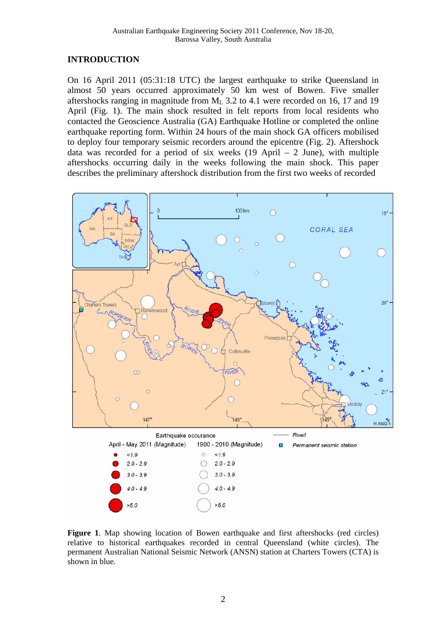## **INTRODUCTION**

On 16 April 2011 (05:31:18 UTC) the largest earthquake to strike Queensland in almost 50 years occurred approximately 50 km west of Bowen. Five smaller aftershocks ranging in magnitude from  $M<sub>L</sub>$  3.2 to 4.1 were recorded on 16, 17 and 19 April (Fig. 1). The main shock resulted in felt reports from local residents who contacted the Geoscience Australia (GA) Earthquake Hotline or completed the online earthquake reporting form. Within 24 hours of the main shock GA officers mobilised to deploy four temporary seismic recorders around the epicentre (Fig. 2). Aftershock data was recorded for a period of six weeks  $(19$  April – 2 June), with multiple aftershocks occurring daily in the weeks following the main shock. This paper describes the preliminary aftershock distribution from the first two weeks of recorded



**Figure 1**. Map showing location of Bowen earthquake and first aftershocks (red circles) relative to historical earthquakes recorded in central Queensland (white circles). The permanent Australian National Seismic Network (ANSN) station at Charters Towers (CTA) is shown in blue.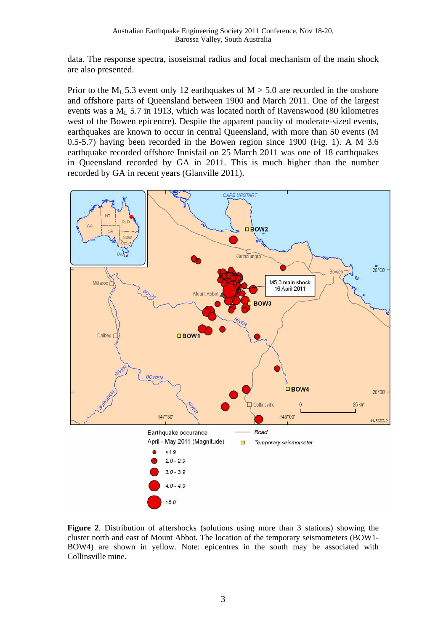data. The response spectra, isoseismal radius and focal mechanism of the main shock are also presented.

Prior to the  $M_L$  5.3 event only 12 earthquakes of  $M > 5.0$  are recorded in the onshore and offshore parts of Queensland between 1900 and March 2011. One of the largest events was a  $M<sub>L</sub>$  5.7 in 1913, which was located north of Ravenswood (80 kilometres west of the Bowen epicentre). Despite the apparent paucity of moderate-sized events, earthquakes are known to occur in central Queensland, with more than 50 events (M 0.5-5.7) having been recorded in the Bowen region since 1900 (Fig. 1). A M 3.6 earthquake recorded offshore Innisfail on 25 March 2011 was one of 18 earthquakes in Queensland recorded by GA in 2011. This is much higher than the number recorded by GA in recent years (Glanville 2011).



**Figure 2**. Distribution of aftershocks (solutions using more than 3 stations) showing the cluster north and east of Mount Abbot. The location of the temporary seismometers (BOW1- BOW4) are shown in yellow. Note: epicentres in the south may be associated with Collinsville mine.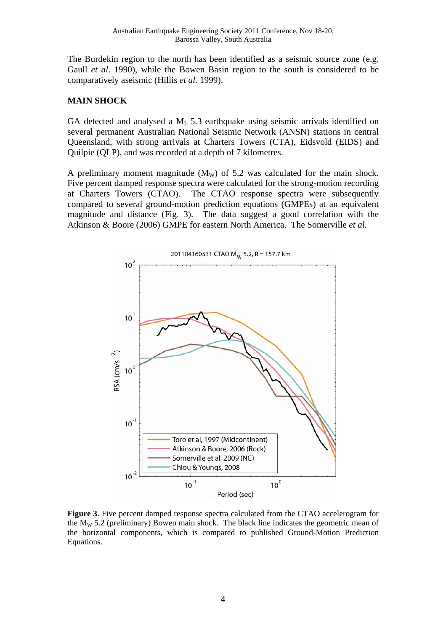The Burdekin region to the north has been identified as a seismic source zone (e.g. Gaull *et al*. 1990), while the Bowen Basin region to the south is considered to be comparatively aseismic (Hillis *et al.* 1999).

## **MAIN SHOCK**

GA detected and analysed a  $M<sub>L</sub>$  5.3 earthquake using seismic arrivals identified on several permanent Australian National Seismic Network (ANSN) stations in central Queensland, with strong arrivals at Charters Towers (CTA), Eidsvold (EIDS) and Quilpie (QLP), and was recorded at a depth of 7 kilometres.

A preliminary moment magnitude  $(M_W)$  of 5.2 was calculated for the main shock. Five percent damped response spectra were calculated for the strong-motion recording at Charters Towers (CTAO). The CTAO response spectra were subsequently compared to several ground-motion prediction equations (GMPEs) at an equivalent magnitude and distance (Fig. 3). The data suggest a good correlation with the Atkinson & Boore (2006) GMPE for eastern North America. The Somerville *et al.*



**Figure 3**. Five percent damped response spectra calculated from the CTAO accelerogram for the  $M_W$  5.2 (preliminary) Bowen main shock. The black line indicates the geometric mean of the horizontal components, which is compared to published Ground-Motion Prediction Equations.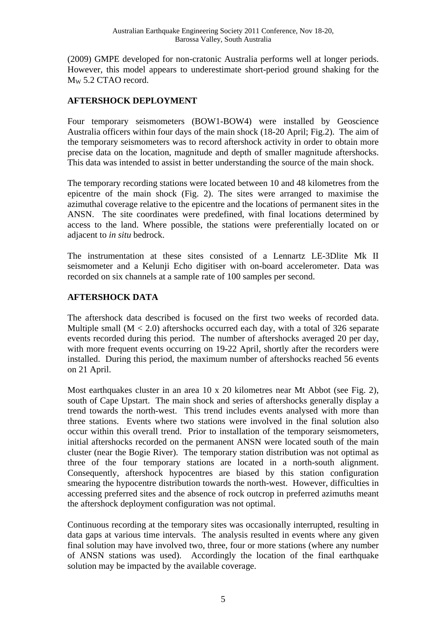(2009) GMPE developed for non-cratonic Australia performs well at longer periods. However, this model appears to underestimate short-period ground shaking for the MW 5.2 CTAO record.

# **AFTERSHOCK DEPLOYMENT**

Four temporary seismometers (BOW1-BOW4) were installed by Geoscience Australia officers within four days of the main shock (18-20 April; Fig.2). The aim of the temporary seismometers was to record aftershock activity in order to obtain more precise data on the location, magnitude and depth of smaller magnitude aftershocks. This data was intended to assist in better understanding the source of the main shock.

The temporary recording stations were located between 10 and 48 kilometres from the epicentre of the main shock (Fig. 2). The sites were arranged to maximise the azimuthal coverage relative to the epicentre and the locations of permanent sites in the ANSN. The site coordinates were predefined, with final locations determined by access to the land. Where possible, the stations were preferentially located on or adjacent to *in situ* bedrock.

The instrumentation at these sites consisted of a Lennartz LE-3Dlite Mk II seismometer and a Kelunji Echo digitiser with on-board accelerometer. Data was recorded on six channels at a sample rate of 100 samples per second.

# **AFTERSHOCK DATA**

The aftershock data described is focused on the first two weeks of recorded data. Multiple small  $(M < 2.0)$  aftershocks occurred each day, with a total of 326 separate events recorded during this period. The number of aftershocks averaged 20 per day, with more frequent events occurring on 19-22 April, shortly after the recorders were installed. During this period, the maximum number of aftershocks reached 56 events on 21 April.

Most earthquakes cluster in an area 10 x 20 kilometres near Mt Abbot (see Fig. 2), south of Cape Upstart. The main shock and series of aftershocks generally display a trend towards the north-west. This trend includes events analysed with more than three stations. Events where two stations were involved in the final solution also occur within this overall trend. Prior to installation of the temporary seismometers, initial aftershocks recorded on the permanent ANSN were located south of the main cluster (near the Bogie River). The temporary station distribution was not optimal as three of the four temporary stations are located in a north-south alignment. Consequently, aftershock hypocentres are biased by this station configuration smearing the hypocentre distribution towards the north-west. However, difficulties in accessing preferred sites and the absence of rock outcrop in preferred azimuths meant the aftershock deployment configuration was not optimal.

Continuous recording at the temporary sites was occasionally interrupted, resulting in data gaps at various time intervals. The analysis resulted in events where any given final solution may have involved two, three, four or more stations (where any number of ANSN stations was used). Accordingly the location of the final earthquake solution may be impacted by the available coverage.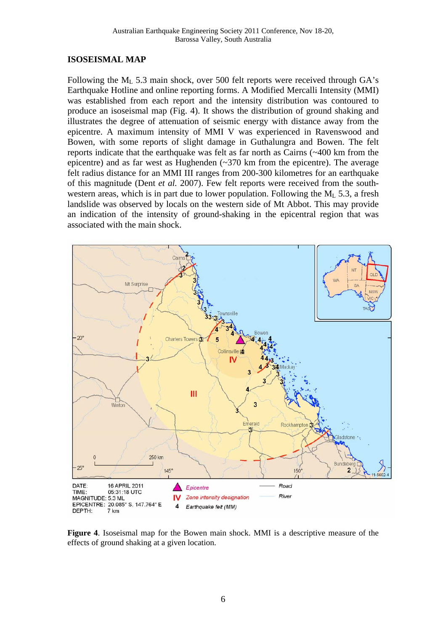#### **ISOSEISMAL MAP**

Following the  $M<sub>L</sub>$  5.3 main shock, over 500 felt reports were received through GA's Earthquake Hotline and online reporting forms. A Modified Mercalli Intensity (MMI) was established from each report and the intensity distribution was contoured to produce an isoseismal map (Fig. 4). It shows the distribution of ground shaking and illustrates the degree of attenuation of seismic energy with distance away from the epicentre. A maximum intensity of MMI V was experienced in Ravenswood and Bowen, with some reports of slight damage in Guthalungra and Bowen. The felt reports indicate that the earthquake was felt as far north as Cairns (~400 km from the epicentre) and as far west as Hughenden (~370 km from the epicentre). The average felt radius distance for an MMI III ranges from 200-300 kilometres for an earthquake of this magnitude (Dent *et al.* 2007). Few felt reports were received from the southwestern areas, which is in part due to lower population. Following the  $M_L$  5.3, a fresh landslide was observed by locals on the western side of Mt Abbot. This may provide an indication of the intensity of ground-shaking in the epicentral region that was associated with the main shock.



**Figure 4**. Isoseismal map for the Bowen main shock. MMI is a descriptive measure of the effects of ground shaking at a given location.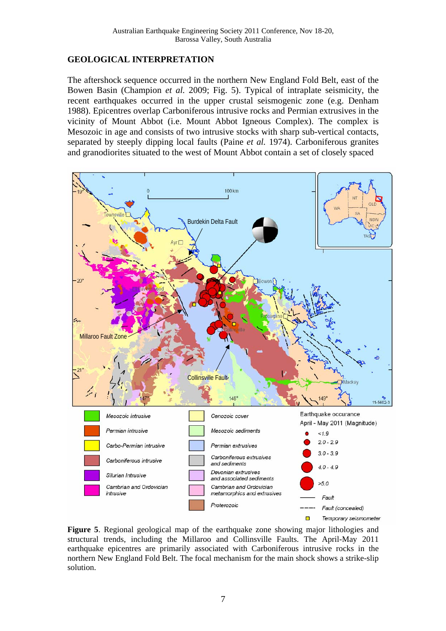### **GEOLOGICAL INTERPRETATION**

The aftershock sequence occurred in the northern New England Fold Belt, east of the Bowen Basin (Champion *et al.* 2009; Fig. 5). Typical of intraplate seismicity, the recent earthquakes occurred in the upper crustal seismogenic zone (e.g. Denham 1988). Epicentres overlap Carboniferous intrusive rocks and Permian extrusives in the vicinity of Mount Abbot (i.e. Mount Abbot Igneous Complex). The complex is Mesozoic in age and consists of two intrusive stocks with sharp sub-vertical contacts, separated by steeply dipping local faults (Paine *et al.* 1974). Carboniferous granites and granodiorites situated to the west of Mount Abbot contain a set of closely spaced



**Figure 5**. Regional geological map of the earthquake zone showing major lithologies and structural trends, including the Millaroo and Collinsville Faults. The April-May 2011 earthquake epicentres are primarily associated with Carboniferous intrusive rocks in the northern New England Fold Belt. The focal mechanism for the main shock shows a strike-slip solution.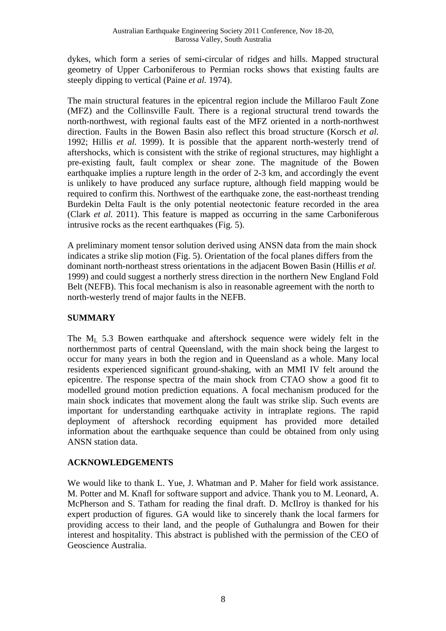dykes, which form a series of semi-circular of ridges and hills. Mapped structural geometry of Upper Carboniferous to Permian rocks shows that existing faults are steeply dipping to vertical (Paine *et al.* 1974).

The main structural features in the epicentral region include the Millaroo Fault Zone (MFZ) and the Collinsville Fault. There is a regional structural trend towards the north-northwest, with regional faults east of the MFZ oriented in a north-northwest direction. Faults in the Bowen Basin also reflect this broad structure (Korsch *et al.* 1992; Hillis *et al.* 1999). It is possible that the apparent north-westerly trend of aftershocks, which is consistent with the strike of regional structures, may highlight a pre-existing fault, fault complex or shear zone. The magnitude of the Bowen earthquake implies a rupture length in the order of 2-3 km, and accordingly the event is unlikely to have produced any surface rupture, although field mapping would be required to confirm this. Northwest of the earthquake zone, the east-northeast trending Burdekin Delta Fault is the only potential neotectonic feature recorded in the area (Clark *et al.* 2011). This feature is mapped as occurring in the same Carboniferous intrusive rocks as the recent earthquakes (Fig. 5).

A preliminary moment tensor solution derived using ANSN data from the main shock indicates a strike slip motion (Fig. 5). Orientation of the focal planes differs from the dominant north-northeast stress orientations in the adjacent Bowen Basin (Hillis *et al.* 1999) and could suggest a northerly stress direction in the northern New England Fold Belt (NEFB). This focal mechanism is also in reasonable agreement with the north to north-westerly trend of major faults in the NEFB.

# **SUMMARY**

The  $M_L$  5.3 Bowen earthquake and aftershock sequence were widely felt in the northernmost parts of central Queensland, with the main shock being the largest to occur for many years in both the region and in Queensland as a whole. Many local residents experienced significant ground-shaking, with an MMI IV felt around the epicentre. The response spectra of the main shock from CTAO show a good fit to modelled ground motion prediction equations. A focal mechanism produced for the main shock indicates that movement along the fault was strike slip. Such events are important for understanding earthquake activity in intraplate regions. The rapid deployment of aftershock recording equipment has provided more detailed information about the earthquake sequence than could be obtained from only using ANSN station data.

## **ACKNOWLEDGEMENTS**

We would like to thank L. Yue, J. Whatman and P. Maher for field work assistance. M. Potter and M. Knafl for software support and advice. Thank you to M. Leonard, A. McPherson and S. Tatham for reading the final draft. D. McIlroy is thanked for his expert production of figures. GA would like to sincerely thank the local farmers for providing access to their land, and the people of Guthalungra and Bowen for their interest and hospitality. This abstract is published with the permission of the CEO of Geoscience Australia.